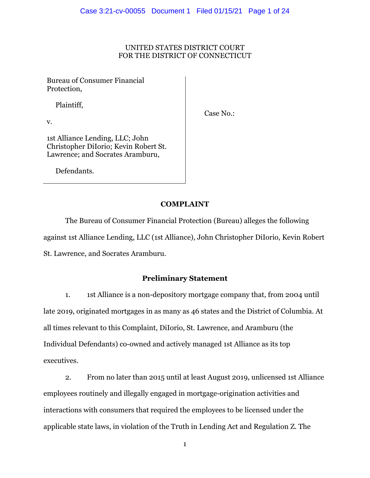## UNITED STATES DISTRICT COURT FOR THE DISTRICT OF CONNECTICUT

Bureau of Consumer Financial Protection,

Plaintiff,

Case No.:

v.

1st Alliance Lending, LLC; John Christopher DiIorio; Kevin Robert St. Lawrence; and Socrates Aramburu,

Defendants.

# **COMPLAINT**

The Bureau of Consumer Financial Protection (Bureau) alleges the following against 1st Alliance Lending, LLC (1st Alliance), John Christopher DiIorio, Kevin Robert St. Lawrence, and Socrates Aramburu.

# **Preliminary Statement**

1. 1st Alliance is a non-depository mortgage company that, from 2004 until late 2019, originated mortgages in as many as 46 states and the District of Columbia. At all times relevant to this Complaint, DiIorio, St. Lawrence, and Aramburu (the Individual Defendants) co-owned and actively managed 1st Alliance as its top executives.

2. From no later than 2015 until at least August 2019, unlicensed 1st Alliance employees routinely and illegally engaged in mortgage-origination activities and interactions with consumers that required the employees to be licensed under the applicable state laws, in violation of the Truth in Lending Act and Regulation Z. The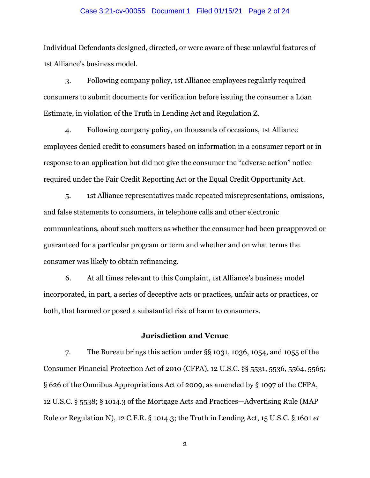#### Case 3:21-cv-00055 Document 1 Filed 01/15/21 Page 2 of 24

Individual Defendants designed, directed, or were aware of these unlawful features of 1st Alliance's business model.

3. Following company policy, 1st Alliance employees regularly required consumers to submit documents for verification before issuing the consumer a Loan Estimate, in violation of the Truth in Lending Act and Regulation Z.

4. Following company policy, on thousands of occasions, 1st Alliance employees denied credit to consumers based on information in a consumer report or in response to an application but did not give the consumer the "adverse action" notice required under the Fair Credit Reporting Act or the Equal Credit Opportunity Act.

5. 1st Alliance representatives made repeated misrepresentations, omissions, and false statements to consumers, in telephone calls and other electronic communications, about such matters as whether the consumer had been preapproved or guaranteed for a particular program or term and whether and on what terms the consumer was likely to obtain refinancing.

6. At all times relevant to this Complaint, 1st Alliance's business model incorporated, in part, a series of deceptive acts or practices, unfair acts or practices, or both, that harmed or posed a substantial risk of harm to consumers.

### **Jurisdiction and Venue**

7. The Bureau brings this action under §§ 1031, 1036, 1054, and 1055 of the Consumer Financial Protection Act of 2010 (CFPA), 12 U.S.C. §§ 5531, 5536, 5564, 5565; § 626 of the Omnibus Appropriations Act of 2009, as amended by § 1097 of the CFPA, 12 U.S.C. § 5538; § 1014.3 of the Mortgage Acts and Practices—Advertising Rule (MAP Rule or Regulation N), 12 C.F.R. § 1014.3; the Truth in Lending Act, 15 U.S.C. § 1601 *et*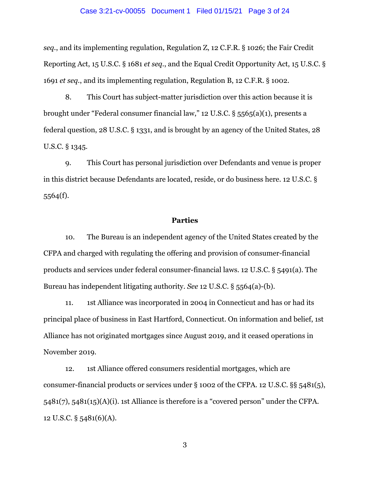#### Case 3:21-cv-00055 Document 1 Filed 01/15/21 Page 3 of 24

*seq.*, and its implementing regulation, Regulation Z, 12 C.F.R. § 1026; the Fair Credit Reporting Act, 15 U.S.C. § 1681 *et seq.*, and the Equal Credit Opportunity Act, 15 U.S.C. § 1691 *et seq.*, and its implementing regulation, Regulation B, 12 C.F.R. § 1002.

8. This Court has subject-matter jurisdiction over this action because it is brought under "Federal consumer financial law," 12 U.S.C. § 5565(a)(1), presents a federal question, 28 U.S.C. § 1331, and is brought by an agency of the United States, 28 U.S.C. § 1345.

9. This Court has personal jurisdiction over Defendants and venue is proper in this district because Defendants are located, reside, or do business here. 12 U.S.C. § 5564(f).

### **Parties**

10. The Bureau is an independent agency of the United States created by the CFPA and charged with regulating the offering and provision of consumer-financial products and services under federal consumer-financial laws. 12 U.S.C. § 5491(a). The Bureau has independent litigating authority. *See* 12 U.S.C. § 5564(a)-(b).

11. 1st Alliance was incorporated in 2004 in Connecticut and has or had its principal place of business in East Hartford, Connecticut. On information and belief, 1st Alliance has not originated mortgages since August 2019, and it ceased operations in November 2019.

12. 1st Alliance offered consumers residential mortgages, which are consumer-financial products or services under § 1002 of the CFPA. 12 U.S.C. §§ 5481(5), 5481(7), 5481(15)(A)(i). 1st Alliance is therefore is a "covered person" under the CFPA. 12 U.S.C. § 5481(6)(A).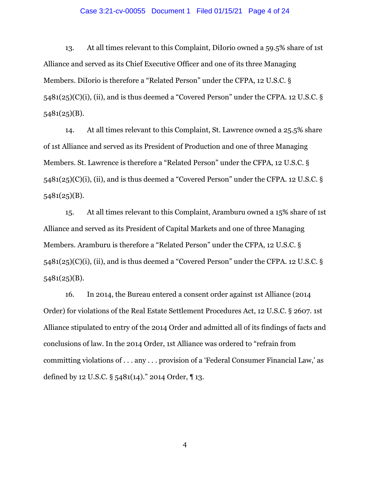#### Case 3:21-cv-00055 Document 1 Filed 01/15/21 Page 4 of 24

13. At all times relevant to this Complaint, DiIorio owned a 59.5% share of 1st Alliance and served as its Chief Executive Officer and one of its three Managing Members. DiIorio is therefore a "Related Person" under the CFPA, 12 U.S.C. § 5481(25)(C)(i), (ii), and is thus deemed a "Covered Person" under the CFPA. 12 U.S.C. § 5481(25)(B).

14. At all times relevant to this Complaint, St. Lawrence owned a 25.5% share of 1st Alliance and served as its President of Production and one of three Managing Members. St. Lawrence is therefore a "Related Person" under the CFPA, 12 U.S.C. § 5481(25)(C)(i), (ii), and is thus deemed a "Covered Person" under the CFPA. 12 U.S.C. § 5481(25)(B).

15. At all times relevant to this Complaint, Aramburu owned a 15% share of 1st Alliance and served as its President of Capital Markets and one of three Managing Members. Aramburu is therefore a "Related Person" under the CFPA, 12 U.S.C. § 5481(25)(C)(i), (ii), and is thus deemed a "Covered Person" under the CFPA. 12 U.S.C. § 5481(25)(B).

16. In 2014, the Bureau entered a consent order against 1st Alliance (2014 Order) for violations of the Real Estate Settlement Procedures Act, 12 U.S.C. § 2607. 1st Alliance stipulated to entry of the 2014 Order and admitted all of its findings of facts and conclusions of law. In the 2014 Order, 1st Alliance was ordered to "refrain from committing violations of . . . any . . . provision of a 'Federal Consumer Financial Law,' as defined by 12 U.S.C. § 5481(14)." 2014 Order, ¶ 13.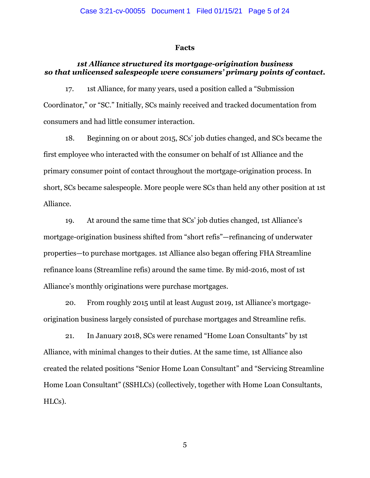#### **Facts**

## *1st Alliance structured its mortgage-origination business so that unlicensed salespeople were consumers' primary points of contact.*

17. 1st Alliance, for many years, used a position called a "Submission Coordinator," or "SC." Initially, SCs mainly received and tracked documentation from consumers and had little consumer interaction.

18. Beginning on or about 2015, SCs' job duties changed, and SCs became the first employee who interacted with the consumer on behalf of 1st Alliance and the primary consumer point of contact throughout the mortgage-origination process. In short, SCs became salespeople. More people were SCs than held any other position at 1st Alliance.

19. At around the same time that SCs' job duties changed, 1st Alliance's mortgage-origination business shifted from "short refis"—refinancing of underwater properties—to purchase mortgages. 1st Alliance also began offering FHA Streamline refinance loans (Streamline refis) around the same time. By mid-2016, most of 1st Alliance's monthly originations were purchase mortgages.

20. From roughly 2015 until at least August 2019, 1st Alliance's mortgageorigination business largely consisted of purchase mortgages and Streamline refis.

21. In January 2018, SCs were renamed "Home Loan Consultants" by 1st Alliance, with minimal changes to their duties. At the same time, 1st Alliance also created the related positions "Senior Home Loan Consultant" and "Servicing Streamline Home Loan Consultant" (SSHLCs) (collectively, together with Home Loan Consultants, HLCs).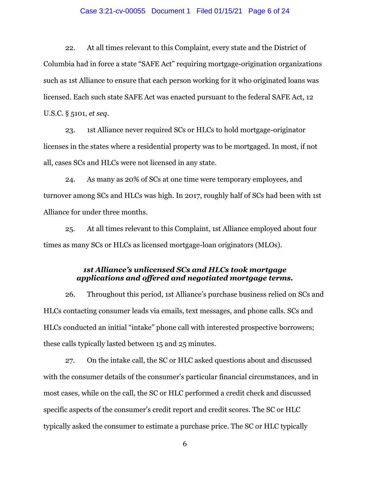#### Case 3:21-cv-00055 Document 1 Filed 01/15/21 Page 6 of 24

22. At all times relevant to this Complaint, every state and the District of Columbia had in force a state "SAFE Act" requiring mortgage-origination organizations such as 1st Alliance to ensure that each person working for it who originated loans was licensed. Each such state SAFE Act was enacted pursuant to the federal SAFE Act, 12 U.S.C. § 5101, *et seq*.

23. 1st Alliance never required SCs or HLCs to hold mortgage-originator licenses in the states where a residential property was to be mortgaged. In most, if not all, cases SCs and HLCs were not licensed in any state.

24. As many as 20% of SCs at one time were temporary employees, and turnover among SCs and HLCs was high. In 2017, roughly half of SCs had been with 1st Alliance for under three months.

25. At all times relevant to this Complaint, 1st Alliance employed about four times as many SCs or HLCs as licensed mortgage-loan originators (MLOs).

## *1st Alliance's unlicensed SCs and HLCs took mortgage applications and offered and negotiated mortgage terms.*

26. Throughout this period, 1st Alliance's purchase business relied on SCs and HLCs contacting consumer leads via emails, text messages, and phone calls. SCs and HLCs conducted an initial "intake" phone call with interested prospective borrowers; these calls typically lasted between 15 and 25 minutes.

27. On the intake call, the SC or HLC asked questions about and discussed with the consumer details of the consumer's particular financial circumstances, and in most cases, while on the call, the SC or HLC performed a credit check and discussed specific aspects of the consumer's credit report and credit scores. The SC or HLC typically asked the consumer to estimate a purchase price. The SC or HLC typically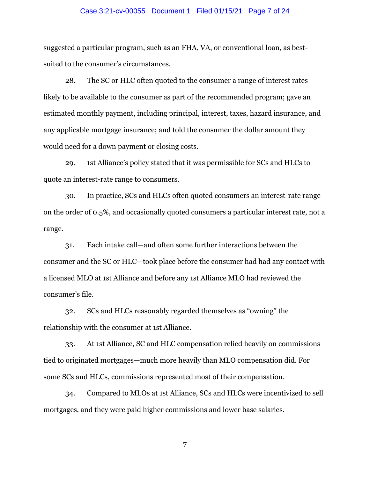#### Case 3:21-cv-00055 Document 1 Filed 01/15/21 Page 7 of 24

suggested a particular program, such as an FHA, VA, or conventional loan, as bestsuited to the consumer's circumstances.

28. The SC or HLC often quoted to the consumer a range of interest rates likely to be available to the consumer as part of the recommended program; gave an estimated monthly payment, including principal, interest, taxes, hazard insurance, and any applicable mortgage insurance; and told the consumer the dollar amount they would need for a down payment or closing costs.

29. 1st Alliance's policy stated that it was permissible for SCs and HLCs to quote an interest-rate range to consumers.

30. In practice, SCs and HLCs often quoted consumers an interest-rate range on the order of 0.5%, and occasionally quoted consumers a particular interest rate, not a range.

31. Each intake call—and often some further interactions between the consumer and the SC or HLC—took place before the consumer had had any contact with a licensed MLO at 1st Alliance and before any 1st Alliance MLO had reviewed the consumer's file.

32. SCs and HLCs reasonably regarded themselves as "owning" the relationship with the consumer at 1st Alliance.

33. At 1st Alliance, SC and HLC compensation relied heavily on commissions tied to originated mortgages—much more heavily than MLO compensation did. For some SCs and HLCs, commissions represented most of their compensation.

34. Compared to MLOs at 1st Alliance, SCs and HLCs were incentivized to sell mortgages, and they were paid higher commissions and lower base salaries.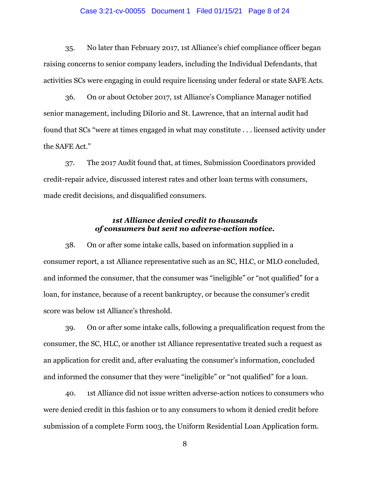#### Case 3:21-cv-00055 Document 1 Filed 01/15/21 Page 8 of 24

35. No later than February 2017, 1st Alliance's chief compliance officer began raising concerns to senior company leaders, including the Individual Defendants, that activities SCs were engaging in could require licensing under federal or state SAFE Acts.

36. On or about October 2017, 1st Alliance's Compliance Manager notified senior management, including DiIorio and St. Lawrence, that an internal audit had found that SCs "were at times engaged in what may constitute . . . licensed activity under the SAFE Act."

37. The 2017 Audit found that, at times, Submission Coordinators provided credit-repair advice, discussed interest rates and other loan terms with consumers, made credit decisions, and disqualified consumers.

## *1st Alliance denied credit to thousands of consumers but sent no adverse-action notice.*

38. On or after some intake calls, based on information supplied in a consumer report, a 1st Alliance representative such as an SC, HLC, or MLO concluded, and informed the consumer, that the consumer was "ineligible" or "not qualified" for a loan, for instance, because of a recent bankruptcy, or because the consumer's credit score was below 1st Alliance's threshold.

39. On or after some intake calls, following a prequalification request from the consumer, the SC, HLC, or another 1st Alliance representative treated such a request as an application for credit and, after evaluating the consumer's information, concluded and informed the consumer that they were "ineligible" or "not qualified" for a loan.

40. 1st Alliance did not issue written adverse-action notices to consumers who were denied credit in this fashion or to any consumers to whom it denied credit before submission of a complete Form 1003, the Uniform Residential Loan Application form.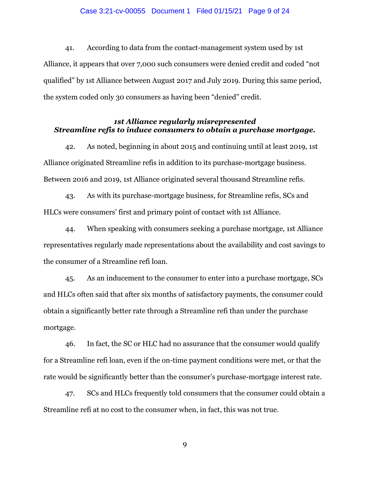#### Case 3:21-cv-00055 Document 1 Filed 01/15/21 Page 9 of 24

41. According to data from the contact-management system used by 1st Alliance, it appears that over 7,000 such consumers were denied credit and coded "not qualified" by 1st Alliance between August 2017 and July 2019. During this same period, the system coded only 30 consumers as having been "denied" credit.

## *1st Alliance regularly misrepresented Streamline refis to induce consumers to obtain a purchase mortgage.*

42. As noted, beginning in about 2015 and continuing until at least 2019, 1st Alliance originated Streamline refis in addition to its purchase-mortgage business. Between 2016 and 2019, 1st Alliance originated several thousand Streamline refis.

43. As with its purchase-mortgage business, for Streamline refis, SCs and HLCs were consumers' first and primary point of contact with 1st Alliance.

44. When speaking with consumers seeking a purchase mortgage, 1st Alliance representatives regularly made representations about the availability and cost savings to the consumer of a Streamline refi loan.

45. As an inducement to the consumer to enter into a purchase mortgage, SCs and HLCs often said that after six months of satisfactory payments, the consumer could obtain a significantly better rate through a Streamline refi than under the purchase mortgage.

46. In fact, the SC or HLC had no assurance that the consumer would qualify for a Streamline refi loan, even if the on-time payment conditions were met, or that the rate would be significantly better than the consumer's purchase-mortgage interest rate.

47. SCs and HLCs frequently told consumers that the consumer could obtain a Streamline refi at no cost to the consumer when, in fact, this was not true.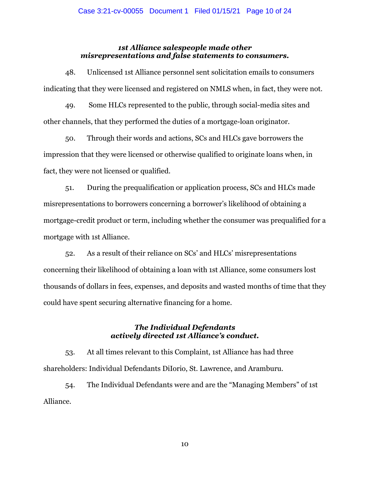# *1st Alliance salespeople made other misrepresentations and false statements to consumers.*

48. Unlicensed 1st Alliance personnel sent solicitation emails to consumers indicating that they were licensed and registered on NMLS when, in fact, they were not.

49. Some HLCs represented to the public, through social-media sites and other channels, that they performed the duties of a mortgage-loan originator.

50. Through their words and actions, SCs and HLCs gave borrowers the impression that they were licensed or otherwise qualified to originate loans when, in fact, they were not licensed or qualified.

51. During the prequalification or application process, SCs and HLCs made misrepresentations to borrowers concerning a borrower's likelihood of obtaining a mortgage-credit product or term, including whether the consumer was prequalified for a mortgage with 1st Alliance.

52. As a result of their reliance on SCs' and HLCs' misrepresentations concerning their likelihood of obtaining a loan with 1st Alliance, some consumers lost thousands of dollars in fees, expenses, and deposits and wasted months of time that they could have spent securing alternative financing for a home.

# *The Individual Defendants actively directed 1st Alliance's conduct.*

53. At all times relevant to this Complaint, 1st Alliance has had three shareholders: Individual Defendants DiIorio, St. Lawrence, and Aramburu.

54. The Individual Defendants were and are the "Managing Members" of 1st Alliance.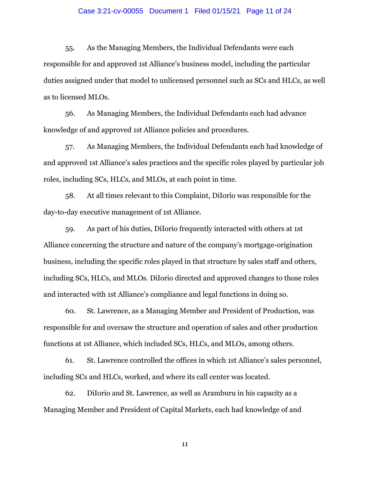#### Case 3:21-cv-00055 Document 1 Filed 01/15/21 Page 11 of 24

55. As the Managing Members, the Individual Defendants were each responsible for and approved 1st Alliance's business model, including the particular duties assigned under that model to unlicensed personnel such as SCs and HLCs, as well as to licensed MLOs.

56. As Managing Members, the Individual Defendants each had advance knowledge of and approved 1st Alliance policies and procedures.

57. As Managing Members, the Individual Defendants each had knowledge of and approved 1st Alliance's sales practices and the specific roles played by particular job roles, including SCs, HLCs, and MLOs, at each point in time.

58. At all times relevant to this Complaint, DiIorio was responsible for the day-to-day executive management of 1st Alliance.

59. As part of his duties, DiIorio frequently interacted with others at 1st Alliance concerning the structure and nature of the company's mortgage-origination business, including the specific roles played in that structure by sales staff and others, including SCs, HLCs, and MLOs. DiIorio directed and approved changes to those roles and interacted with 1st Alliance's compliance and legal functions in doing so.

60. St. Lawrence, as a Managing Member and President of Production, was responsible for and oversaw the structure and operation of sales and other production functions at 1st Alliance, which included SCs, HLCs, and MLOs, among others.

61. St. Lawrence controlled the offices in which 1st Alliance's sales personnel, including SCs and HLCs, worked, and where its call center was located.

62. DiIorio and St. Lawrence, as well as Aramburu in his capacity as a Managing Member and President of Capital Markets, each had knowledge of and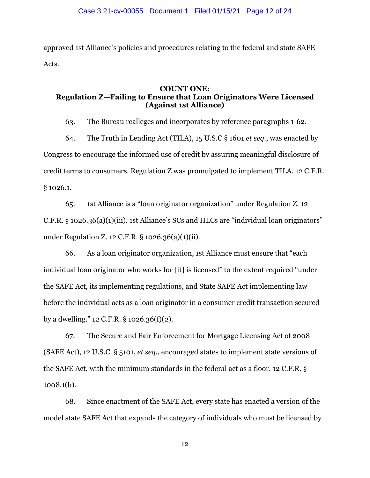approved 1st Alliance's policies and procedures relating to the federal and state SAFE Acts.

## **COUNT ONE: Regulation Z—Failing to Ensure that Loan Originators Were Licensed (Against 1st Alliance)**

63. The Bureau realleges and incorporates by reference paragraphs 1-62.

64. The Truth in Lending Act (TILA), 15 U.S.C § 1601 *et seq.*, was enacted by Congress to encourage the informed use of credit by assuring meaningful disclosure of credit terms to consumers. Regulation Z was promulgated to implement TILA. 12 C.F.R. § 1026.1.

65. 1st Alliance is a "loan originator organization" under Regulation Z. 12 C.F.R. § 1026.36(a)(1)(iii). 1st Alliance's SCs and HLCs are "individual loan originators" under Regulation Z. 12 C.F.R. § 1026.36(a)(1)(ii).

66. As a loan originator organization, 1st Alliance must ensure that "each individual loan originator who works for [it] is licensed" to the extent required "under the SAFE Act, its implementing regulations, and State SAFE Act implementing law before the individual acts as a loan originator in a consumer credit transaction secured by a dwelling." 12 C.F.R. § 1026.36(f)(2).

67. The Secure and Fair Enforcement for Mortgage Licensing Act of 2008 (SAFE Act), 12 U.S.C. § 5101, *et seq.*, encouraged states to implement state versions of the SAFE Act, with the minimum standards in the federal act as a floor. 12 C.F.R. § 1008.1(b).

68. Since enactment of the SAFE Act, every state has enacted a version of the model state SAFE Act that expands the category of individuals who must be licensed by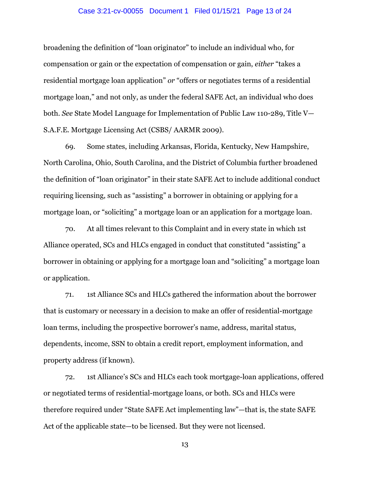#### Case 3:21-cv-00055 Document 1 Filed 01/15/21 Page 13 of 24

broadening the definition of "loan originator" to include an individual who, for compensation or gain or the expectation of compensation or gain, *either* "takes a residential mortgage loan application" *or* "offers or negotiates terms of a residential mortgage loan," and not only, as under the federal SAFE Act, an individual who does both. *See* State Model Language for Implementation of Public Law 110-289, Title V— S.A.F.E. Mortgage Licensing Act (CSBS/ AARMR 2009).

69. Some states, including Arkansas, Florida, Kentucky, New Hampshire, North Carolina, Ohio, South Carolina, and the District of Columbia further broadened the definition of "loan originator" in their state SAFE Act to include additional conduct requiring licensing, such as "assisting" a borrower in obtaining or applying for a mortgage loan, or "soliciting" a mortgage loan or an application for a mortgage loan.

70. At all times relevant to this Complaint and in every state in which 1st Alliance operated, SCs and HLCs engaged in conduct that constituted "assisting" a borrower in obtaining or applying for a mortgage loan and "soliciting" a mortgage loan or application.

71. 1st Alliance SCs and HLCs gathered the information about the borrower that is customary or necessary in a decision to make an offer of residential-mortgage loan terms, including the prospective borrower's name, address, marital status, dependents, income, SSN to obtain a credit report, employment information, and property address (if known).

72. 1st Alliance's SCs and HLCs each took mortgage-loan applications, offered or negotiated terms of residential-mortgage loans, or both. SCs and HLCs were therefore required under "State SAFE Act implementing law"—that is, the state SAFE Act of the applicable state—to be licensed. But they were not licensed.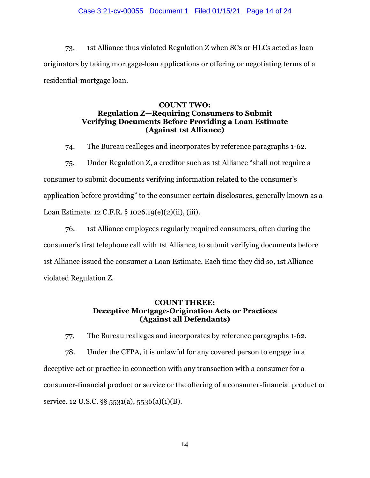#### Case 3:21-cv-00055 Document 1 Filed 01/15/21 Page 14 of 24

73. 1st Alliance thus violated Regulation Z when SCs or HLCs acted as loan originators by taking mortgage-loan applications or offering or negotiating terms of a residential-mortgage loan.

## **COUNT TWO: Regulation Z—Requiring Consumers to Submit Verifying Documents Before Providing a Loan Estimate (Against 1st Alliance)**

74. The Bureau realleges and incorporates by reference paragraphs 1-62.

75. Under Regulation Z, a creditor such as 1st Alliance "shall not require a consumer to submit documents verifying information related to the consumer's application before providing" to the consumer certain disclosures, generally known as a Loan Estimate. 12 C.F.R. § 1026.19(e)(2)(ii), (iii).

76. 1st Alliance employees regularly required consumers, often during the consumer's first telephone call with 1st Alliance, to submit verifying documents before 1st Alliance issued the consumer a Loan Estimate. Each time they did so, 1st Alliance violated Regulation Z.

# **COUNT THREE: Deceptive Mortgage-Origination Acts or Practices (Against all Defendants)**

77. The Bureau realleges and incorporates by reference paragraphs 1-62.

78. Under the CFPA, it is unlawful for any covered person to engage in a deceptive act or practice in connection with any transaction with a consumer for a consumer-financial product or service or the offering of a consumer-financial product or service. 12 U.S.C. §§ 5531(a), 5536(a)(1)(B).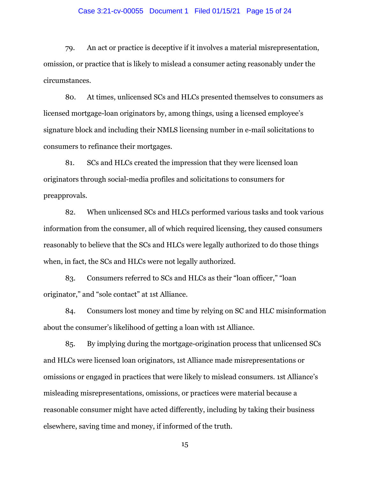#### Case 3:21-cv-00055 Document 1 Filed 01/15/21 Page 15 of 24

79. An act or practice is deceptive if it involves a material misrepresentation, omission, or practice that is likely to mislead a consumer acting reasonably under the circumstances.

80. At times, unlicensed SCs and HLCs presented themselves to consumers as licensed mortgage-loan originators by, among things, using a licensed employee's signature block and including their NMLS licensing number in e-mail solicitations to consumers to refinance their mortgages.

81. SCs and HLCs created the impression that they were licensed loan originators through social-media profiles and solicitations to consumers for preapprovals.

82. When unlicensed SCs and HLCs performed various tasks and took various information from the consumer, all of which required licensing, they caused consumers reasonably to believe that the SCs and HLCs were legally authorized to do those things when, in fact, the SCs and HLCs were not legally authorized.

83. Consumers referred to SCs and HLCs as their "loan officer," "loan originator," and "sole contact" at 1st Alliance.

84. Consumers lost money and time by relying on SC and HLC misinformation about the consumer's likelihood of getting a loan with 1st Alliance.

85. By implying during the mortgage-origination process that unlicensed SCs and HLCs were licensed loan originators, 1st Alliance made misrepresentations or omissions or engaged in practices that were likely to mislead consumers. 1st Alliance's misleading misrepresentations, omissions, or practices were material because a reasonable consumer might have acted differently, including by taking their business elsewhere, saving time and money, if informed of the truth.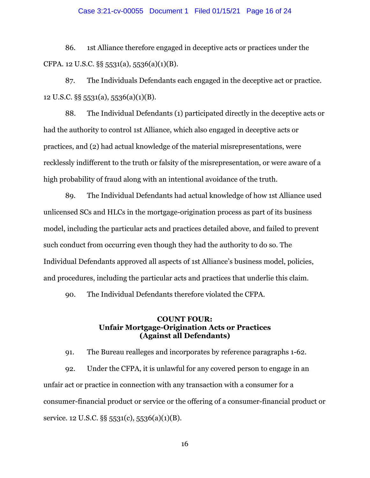#### Case 3:21-cv-00055 Document 1 Filed 01/15/21 Page 16 of 24

86. 1st Alliance therefore engaged in deceptive acts or practices under the CFPA. 12 U.S.C. §§ 5531(a), 5536(a)(1)(B).

87. The Individuals Defendants each engaged in the deceptive act or practice. 12 U.S.C. §§ 5531(a), 5536(a)(1)(B).

88. The Individual Defendants (1) participated directly in the deceptive acts or had the authority to control 1st Alliance, which also engaged in deceptive acts or practices, and (2) had actual knowledge of the material misrepresentations, were recklessly indifferent to the truth or falsity of the misrepresentation, or were aware of a high probability of fraud along with an intentional avoidance of the truth.

89. The Individual Defendants had actual knowledge of how 1st Alliance used unlicensed SCs and HLCs in the mortgage-origination process as part of its business model, including the particular acts and practices detailed above, and failed to prevent such conduct from occurring even though they had the authority to do so. The Individual Defendants approved all aspects of 1st Alliance's business model, policies, and procedures, including the particular acts and practices that underlie this claim.

90. The Individual Defendants therefore violated the CFPA.

## **COUNT FOUR: Unfair Mortgage-Origination Acts or Practices (Against all Defendants)**

91. The Bureau realleges and incorporates by reference paragraphs 1-62. 92. Under the CFPA, it is unlawful for any covered person to engage in an unfair act or practice in connection with any transaction with a consumer for a consumer-financial product or service or the offering of a consumer-financial product or service. 12 U.S.C. §§ 5531(c), 5536(a)(1)(B).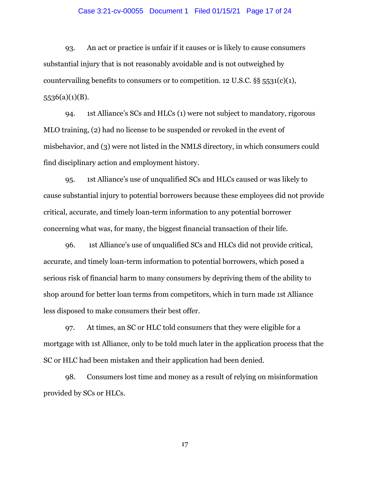#### Case 3:21-cv-00055 Document 1 Filed 01/15/21 Page 17 of 24

93. An act or practice is unfair if it causes or is likely to cause consumers substantial injury that is not reasonably avoidable and is not outweighed by countervailing benefits to consumers or to competition. 12 U.S.C.  $\S$ § 5531(c)(1), 5536(a)(1)(B).

94. 1st Alliance's SCs and HLCs (1) were not subject to mandatory, rigorous MLO training, (2) had no license to be suspended or revoked in the event of misbehavior, and (3) were not listed in the NMLS directory, in which consumers could find disciplinary action and employment history.

95. 1st Alliance's use of unqualified SCs and HLCs caused or was likely to cause substantial injury to potential borrowers because these employees did not provide critical, accurate, and timely loan-term information to any potential borrower concerning what was, for many, the biggest financial transaction of their life.

96. 1st Alliance's use of unqualified SCs and HLCs did not provide critical, accurate, and timely loan-term information to potential borrowers, which posed a serious risk of financial harm to many consumers by depriving them of the ability to shop around for better loan terms from competitors, which in turn made 1st Alliance less disposed to make consumers their best offer.

97. At times, an SC or HLC told consumers that they were eligible for a mortgage with 1st Alliance, only to be told much later in the application process that the SC or HLC had been mistaken and their application had been denied.

98. Consumers lost time and money as a result of relying on misinformation provided by SCs or HLCs.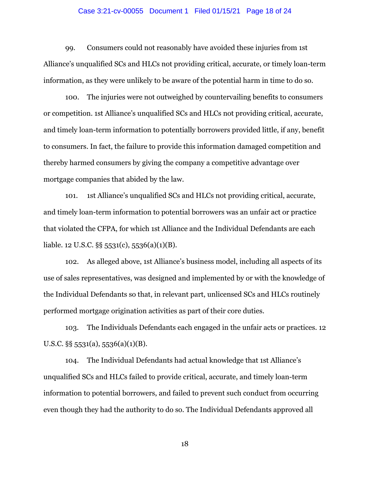#### Case 3:21-cv-00055 Document 1 Filed 01/15/21 Page 18 of 24

99. Consumers could not reasonably have avoided these injuries from 1st Alliance's unqualified SCs and HLCs not providing critical, accurate, or timely loan-term information, as they were unlikely to be aware of the potential harm in time to do so.

100. The injuries were not outweighed by countervailing benefits to consumers or competition. 1st Alliance's unqualified SCs and HLCs not providing critical, accurate, and timely loan-term information to potentially borrowers provided little, if any, benefit to consumers. In fact, the failure to provide this information damaged competition and thereby harmed consumers by giving the company a competitive advantage over mortgage companies that abided by the law.

101. 1st Alliance's unqualified SCs and HLCs not providing critical, accurate, and timely loan-term information to potential borrowers was an unfair act or practice that violated the CFPA, for which 1st Alliance and the Individual Defendants are each liable. 12 U.S.C. §§ 5531(c), 5536(a)(1)(B).

102. As alleged above, 1st Alliance's business model, including all aspects of its use of sales representatives, was designed and implemented by or with the knowledge of the Individual Defendants so that, in relevant part, unlicensed SCs and HLCs routinely performed mortgage origination activities as part of their core duties.

103. The Individuals Defendants each engaged in the unfair acts or practices. 12 U.S.C.  $\S$ § 5531(a), 5536(a)(1)(B).

104. The Individual Defendants had actual knowledge that 1st Alliance's unqualified SCs and HLCs failed to provide critical, accurate, and timely loan-term information to potential borrowers, and failed to prevent such conduct from occurring even though they had the authority to do so. The Individual Defendants approved all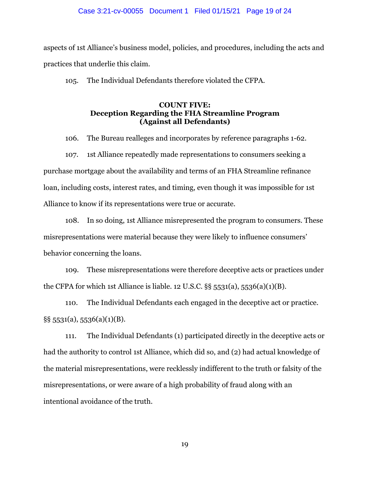#### Case 3:21-cv-00055 Document 1 Filed 01/15/21 Page 19 of 24

aspects of 1st Alliance's business model, policies, and procedures, including the acts and practices that underlie this claim.

105. The Individual Defendants therefore violated the CFPA.

## **COUNT FIVE: Deception Regarding the FHA Streamline Program (Against all Defendants)**

106. The Bureau realleges and incorporates by reference paragraphs 1-62.

107. 1st Alliance repeatedly made representations to consumers seeking a purchase mortgage about the availability and terms of an FHA Streamline refinance loan, including costs, interest rates, and timing, even though it was impossible for 1st Alliance to know if its representations were true or accurate.

108. In so doing, 1st Alliance misrepresented the program to consumers. These misrepresentations were material because they were likely to influence consumers' behavior concerning the loans.

109. These misrepresentations were therefore deceptive acts or practices under the CFPA for which 1st Alliance is liable. 12 U.S.C.  $\S$ § 5531(a), 5536(a)(1)(B).

110. The Individual Defendants each engaged in the deceptive act or practice. §§ 5531(a), 5536(a)(1)(B).

111. The Individual Defendants (1) participated directly in the deceptive acts or had the authority to control 1st Alliance, which did so, and (2) had actual knowledge of the material misrepresentations, were recklessly indifferent to the truth or falsity of the misrepresentations, or were aware of a high probability of fraud along with an intentional avoidance of the truth.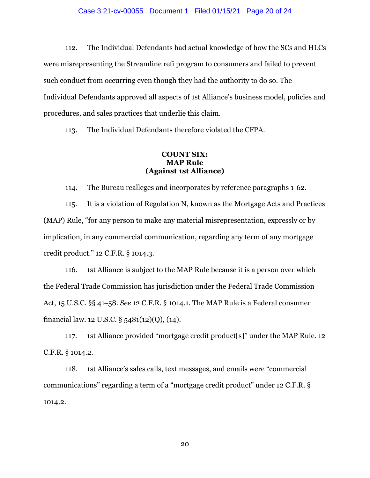#### Case 3:21-cv-00055 Document 1 Filed 01/15/21 Page 20 of 24

112. The Individual Defendants had actual knowledge of how the SCs and HLCs were misrepresenting the Streamline refi program to consumers and failed to prevent such conduct from occurring even though they had the authority to do so. The Individual Defendants approved all aspects of 1st Alliance's business model, policies and procedures, and sales practices that underlie this claim.

113. The Individual Defendants therefore violated the CFPA.

### **COUNT SIX: MAP Rule (Against 1st Alliance)**

114. The Bureau realleges and incorporates by reference paragraphs 1-62.

115. It is a violation of Regulation N, known as the Mortgage Acts and Practices (MAP) Rule, "for any person to make any material misrepresentation, expressly or by implication, in any commercial communication, regarding any term of any mortgage credit product." 12 C.F.R. § 1014.3.

116. 1st Alliance is subject to the MAP Rule because it is a person over which the Federal Trade Commission has jurisdiction under the Federal Trade Commission Act, 15 U.S.C. §§ 41‒58. *See* 12 C.F.R. § 1014.1. The MAP Rule is a Federal consumer financial law. 12 U.S.C. § 5481(12)(Q), (14).

117. 1st Alliance provided "mortgage credit product[s]" under the MAP Rule. 12 C.F.R. § 1014.2.

118. 1st Alliance's sales calls, text messages, and emails were "commercial communications" regarding a term of a "mortgage credit product" under 12 C.F.R. § 1014.2.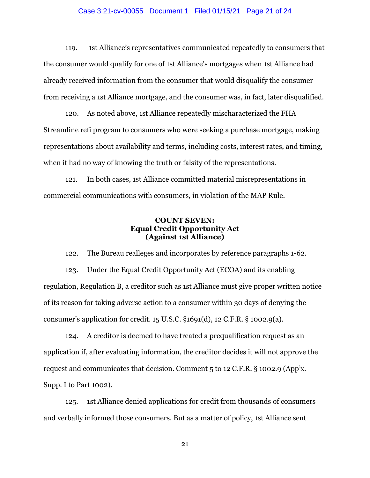#### Case 3:21-cv-00055 Document 1 Filed 01/15/21 Page 21 of 24

119. 1st Alliance's representatives communicated repeatedly to consumers that the consumer would qualify for one of 1st Alliance's mortgages when 1st Alliance had already received information from the consumer that would disqualify the consumer from receiving a 1st Alliance mortgage, and the consumer was, in fact, later disqualified.

120. As noted above, 1st Alliance repeatedly mischaracterized the FHA Streamline refi program to consumers who were seeking a purchase mortgage, making representations about availability and terms, including costs, interest rates, and timing, when it had no way of knowing the truth or falsity of the representations.

121. In both cases, 1st Alliance committed material misrepresentations in commercial communications with consumers, in violation of the MAP Rule.

## **COUNT SEVEN: Equal Credit Opportunity Act (Against 1st Alliance)**

122. The Bureau realleges and incorporates by reference paragraphs 1-62.

123. Under the Equal Credit Opportunity Act (ECOA) and its enabling regulation, Regulation B, a creditor such as 1st Alliance must give proper written notice of its reason for taking adverse action to a consumer within 30 days of denying the consumer's application for credit.  $15$  U.S.C.  $\S 1691(d)$ ,  $12$  C.F.R.  $\S 1002.9(a)$ .

124. A creditor is deemed to have treated a prequalification request as an application if, after evaluating information, the creditor decides it will not approve the request and communicates that decision. Comment 5 to 12 C.F.R. § 1002.9 (App'x. Supp. I to Part 1002).

125. 1st Alliance denied applications for credit from thousands of consumers and verbally informed those consumers. But as a matter of policy, 1st Alliance sent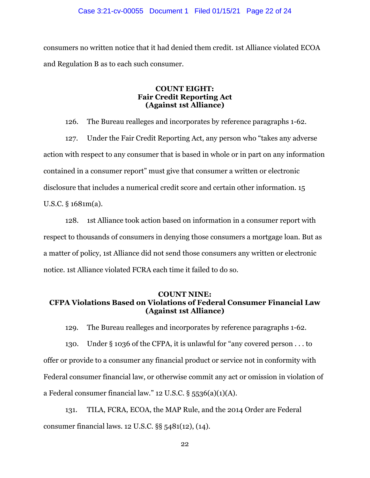#### Case 3:21-cv-00055 Document 1 Filed 01/15/21 Page 22 of 24

consumers no written notice that it had denied them credit. 1st Alliance violated ECOA and Regulation B as to each such consumer.

## **COUNT EIGHT: Fair Credit Reporting Act (Against 1st Alliance)**

126. The Bureau realleges and incorporates by reference paragraphs 1-62.

127. Under the Fair Credit Reporting Act, any person who "takes any adverse action with respect to any consumer that is based in whole or in part on any information contained in a consumer report" must give that consumer a written or electronic disclosure that includes a numerical credit score and certain other information. 15 U.S.C. § 1681m(a).

128. 1st Alliance took action based on information in a consumer report with respect to thousands of consumers in denying those consumers a mortgage loan. But as a matter of policy, 1st Alliance did not send those consumers any written or electronic notice. 1st Alliance violated FCRA each time it failed to do so.

## **COUNT NINE: CFPA Violations Based on Violations of Federal Consumer Financial Law (Against 1st Alliance)**

129. The Bureau realleges and incorporates by reference paragraphs 1-62.

130. Under § 1036 of the CFPA, it is unlawful for "any covered person . . . to offer or provide to a consumer any financial product or service not in conformity with Federal consumer financial law, or otherwise commit any act or omission in violation of a Federal consumer financial law." 12 U.S.C. § 5536(a)(1)(A).

131. TILA, FCRA, ECOA, the MAP Rule, and the 2014 Order are Federal consumer financial laws. 12 U.S.C. §§ 5481(12), (14).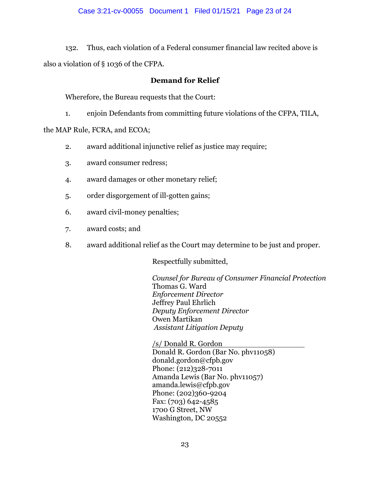## Case 3:21-cv-00055 Document 1 Filed 01/15/21 Page 23 of 24

132. Thus, each violation of a Federal consumer financial law recited above is also a violation of § 1036 of the CFPA.

## **Demand for Relief**

Wherefore, the Bureau requests that the Court:

1. enjoin Defendants from committing future violations of the CFPA, TILA,

the MAP Rule, FCRA, and ECOA;

- 2. award additional injunctive relief as justice may require;
- 3. award consumer redress;
- 4. award damages or other monetary relief;
- 5. order disgorgement of ill-gotten gains;
- 6. award civil-money penalties;
- 7. award costs; and
- 8. award additional relief as the Court may determine to be just and proper.

Respectfully submitted,

*Counsel for Bureau of Consumer Financial Protection*  Thomas G. Ward *Enforcement Director*  Jeffrey Paul Ehrlich *Deputy Enforcement Director*  Owen Martikan  *Assistant Litigation Deputy* 

/s/ Donald R. Gordon Donald R. Gordon (Bar No. phv11058) donald.gordon@cfpb.gov Phone: (212)328-7011 Amanda Lewis (Bar No. phv11057) amanda.lewis@cfpb.gov Phone: (202)360-9204 Fax: (703) 642-4585 1700 G Street, NW Washington, DC 20552